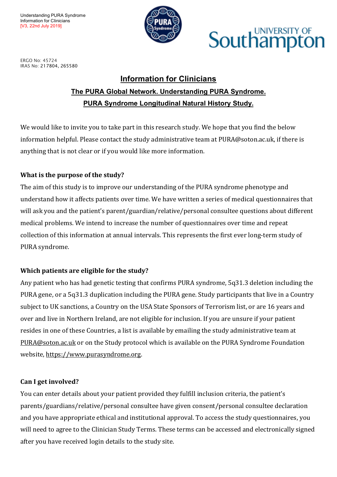

## UNIVERSITY OF Southampt

ERGO No: 45724 IRAS No: 217804, 265580

#### **Information for Clinicians**

#### **The PURA Global Network. Understanding PURA Syndrome. PURA Syndrome Longitudinal Natural History Study.**

We would like to invite you to take part in this research study. We hope that you find the below information helpful. Please contact the study administrative team at PURA@soton.ac.uk, if there is anything that is not clear or if you would like more information.

#### **What is the purpose of the study?**

The aim of this study is to improve our understanding of the PURA syndrome phenotype and understand how it affects patients over time. We have written a series of medical questionnaires that will ask you and the patient's parent/guardian/relative/personal consultee questions about different medical problems. We intend to increase the number of questionnaires over time and repeat collection of this information at annual intervals. This represents the first ever long-term study of PURA syndrome.

#### **Which patients are eligible for the study?**

Any patient who has had genetic testing that confirms PURA syndrome, 5q31.3 deletion including the PURA gene, or a 5q31.3 duplication including the PURA gene. Study participants that live in a Country subject to UK sanctions, a Country on the USA State Sponsors of Terrorism list, or are 16 years and over and live in Northern Ireland, are not eligible for inclusion. If you are unsure if your patient resides in one of these Countries, a list is available by emailing the study administrative team at PURA@soton.ac.uk or on the Study protocol which is available on the PURA Syndrome Foundation website, https://www.purasyndrome.org.

#### **Can I get involved?**

You can enter details about your patient provided they fulfill inclusion criteria, the patient's parents/guardians/relative/personal consultee have given consent/personal consultee declaration and you have appropriate ethical and institutional approval. To access the study questionnaires, you will need to agree to the Clinician Study Terms. These terms can be accessed and electronically signed after you have received login details to the study site.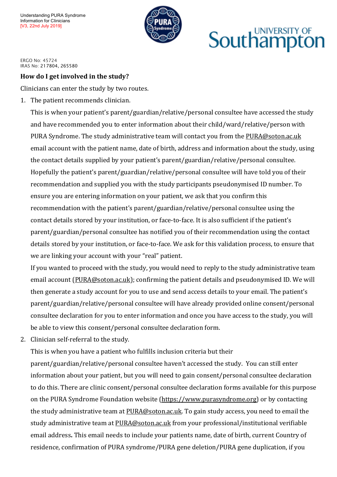

# **UNIVERSITY OF** Southamptor

ERGO No: 45724 IRAS No: 217804, 265580

#### **How do I get involved in the study?**

Clinicians can enter the study by two routes.

1. The patient recommends clinician.

This is when your patient's parent/guardian/relative/personal consultee have accessed the study and have recommended you to enter information about their child/ward/relative/person with PURA Syndrome. The study administrative team will contact you from the PURA@soton.ac.uk email account with the patient name, date of birth, address and information about the study, using the contact details supplied by your patient's parent/guardian/relative/personal consultee. Hopefully the patient's parent/guardian/relative/personal consultee will have told you of their recommendation and supplied you with the study participants pseudonymised ID number. To ensure you are entering information on your patient, we ask that you confirm this recommendation with the patient's parent/guardian/relative/personal consultee using the contact details stored by your institution, or face-to-face. It is also sufficient if the patient's parent/guardian/personal consultee has notified you of their recommendation using the contact details stored by your institution, or face-to-face. We ask for this validation process, to ensure that we are linking your account with your "real" patient.

If you wanted to proceed with the study, you would need to reply to the study administrative team email account (PURA@soton.ac.uk); confirming the patient details and pseudonymised ID. We will then generate a study account for you to use and send access details to your email. The patient's parent/guardian/relative/personal consultee will have already provided online consent/personal consultee declaration for you to enter information and once you have access to the study, you will be able to view this consent/personal consultee declaration form.

2. Clinician self-referral to the study.

This is when you have a patient who fulfills inclusion criteria but their

parent/guardian/relative/personal consultee haven't accessed the study. You can still enter information about your patient, but you will need to gain consent/personal consultee declaration to do this. There are clinic consent/personal consultee declaration forms available for this purpose on the PURA Syndrome Foundation website (https://www.purasyndrome.org) or by contacting the study administrative team at PURA@soton.ac.uk. To gain study access, you need to email the study administrative team at PURA@soton.ac.uk from your professional/institutional verifiable email address. This email needs to include your patients name, date of birth, current Country of residence, confirmation of PURA syndrome/PURA gene deletion/PURA gene duplication, if you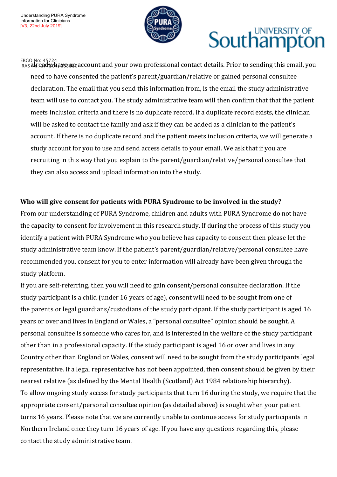

# **UNIVERSITY OF** Southampton

<sub>IRAS</sub> ልሁ: 45724<br><sub>IRAS</sub> ልሁ:ቂadyoaaא୫தaහaccount and your own professional contact details. Prior to sending this email, you need to have consented the patient's parent/guardian/relative or gained personal consultee declaration. The email that you send this information from, is the email the study administrative team will use to contact you. The study administrative team will then confirm that that the patient meets inclusion criteria and there is no duplicate record. If a duplicate record exists, the clinician will be asked to contact the family and ask if they can be added as a clinician to the patient's account. If there is no duplicate record and the patient meets inclusion criteria, we will generate a study account for you to use and send access details to your email. We ask that if you are recruiting in this way that you explain to the parent/guardian/relative/personal consultee that they can also access and upload information into the study.

#### Who will give consent for patients with PURA Syndrome to be involved in the study?

From our understanding of PURA Syndrome, children and adults with PURA Syndrome do not have the capacity to consent for involvement in this research study. If during the process of this study you identify a patient with PURA Syndrome who you believe has capacity to consent then please let the study administrative team know. If the patient's parent/guardian/relative/personal consultee have recommended you, consent for you to enter information will already have been given through the study platform.

If you are self-referring, then you will need to gain consent/personal consultee declaration. If the study participant is a child (under 16 years of age), consent will need to be sought from one of the parents or legal guardians/custodians of the study participant. If the study participant is aged 16 years or over and lives in England or Wales, a "personal consultee" opinion should be sought. A personal consultee is someone who cares for, and is interested in the welfare of the study participant other than in a professional capacity. If the study participant is aged 16 or over and lives in any Country other than England or Wales, consent will need to be sought from the study participants legal representative. If a legal representative has not been appointed, then consent should be given by their nearest relative (as defined by the Mental Health (Scotland) Act 1984 relationship hierarchy). To allow ongoing study access for study participants that turn 16 during the study, we require that the appropriate consent/personal consultee opinion (as detailed above) is sought when your patient turns 16 years. Please note that we are currently unable to continue access for study participants in Northern Ireland once they turn 16 years of age. If you have any questions regarding this, please contact the study administrative team.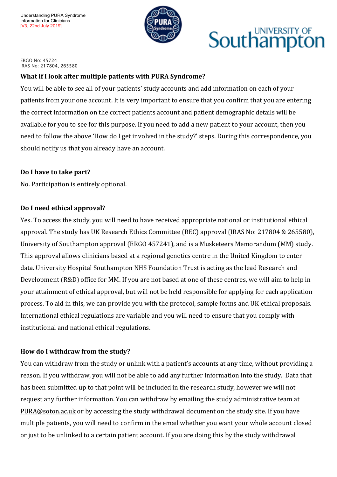

## UNIVERSITY OF Southampt

ERGO No: 45724 IRAS No: 217804, 265580

#### **What if I look after multiple patients with PURA Syndrome?**

You will be able to see all of your patients' study accounts and add information on each of your patients from your one account. It is very important to ensure that you confirm that you are entering the correct information on the correct patients account and patient demographic details will be available for you to see for this purpose. If you need to add a new patient to your account, then you need to follow the above 'How do I get involved in the study?' steps. During this correspondence, you should notify us that you already have an account.

#### **Do I have to take part?**

No. Participation is entirely optional.

#### Do I need ethical approval?

Yes. To access the study, you will need to have received appropriate national or institutional ethical approval. The study has UK Research Ethics Committee (REC) approval (IRAS No: 217804 & 265580), University of Southampton approval (ERGO 457241), and is a Musketeers Memorandum (MM) study. This approval allows clinicians based at a regional genetics centre in the United Kingdom to enter data. University Hospital Southampton NHS Foundation Trust is acting as the lead Research and Development (R&D) office for MM. If you are not based at one of these centres, we will aim to help in your attainment of ethical approval, but will not be held responsible for applying for each application process. To aid in this, we can provide you with the protocol, sample forms and UK ethical proposals. International ethical regulations are variable and you will need to ensure that you comply with institutional and national ethical regulations.

#### How do I withdraw from the study?

You can withdraw from the study or unlink with a patient's accounts at any time, without providing a reason. If you withdraw, you will not be able to add any further information into the study. Data that has been submitted up to that point will be included in the research study, however we will not request any further information. You can withdraw by emailing the study administrative team at PURA@soton.ac.uk or by accessing the study withdrawal document on the study site. If you have multiple patients, you will need to confirm in the email whether you want your whole account closed or just to be unlinked to a certain patient account. If you are doing this by the study withdrawal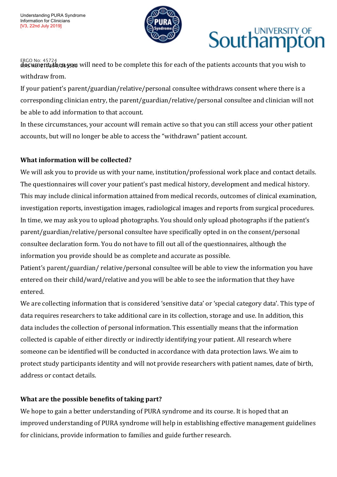

# UNIVERSITY OF **Southampto**

<sub>ERGO No: 45724</sub><br>**ਕ਼ਕੁ¢NB1@IT&6h@83938U** will need to be complete this for each of the patients accounts that you wish to withdraw from.

If your patient's parent/guardian/relative/personal consultee withdraws consent where there is a corresponding clinician entry, the parent/guardian/relative/personal consultee and clinician will not be able to add information to that account.

In these circumstances, your account will remain active so that you can still access your other patient accounts, but will no longer be able to access the "withdrawn" patient account.

#### **What information will be collected?**

We will ask you to provide us with your name, institution/professional work place and contact details. The questionnaires will cover your patient's past medical history, development and medical history. This may include clinical information attained from medical records, outcomes of clinical examination, investigation reports, investigation images, radiological images and reports from surgical procedures. In time, we may ask you to upload photographs. You should only upload photographs if the patient's parent/guardian/relative/personal consultee have specifically opted in on the consent/personal consultee declaration form. You do not have to fill out all of the questionnaires, although the information you provide should be as complete and accurate as possible.

Patient's parent/guardian/ relative/personal consultee will be able to view the information you have entered on their child/ward/relative and you will be able to see the information that they have entered.

We are collecting information that is considered 'sensitive data' or 'special category data'. This type of data requires researchers to take additional care in its collection, storage and use. In addition, this data includes the collection of personal information. This essentially means that the information collected is capable of either directly or indirectly identifying your patient. All research where someone can be identified will be conducted in accordance with data protection laws. We aim to protect study participants identity and will not provide researchers with patient names, date of birth, address or contact details.

#### **What are the possible benefits of taking part?**

We hope to gain a better understanding of PURA syndrome and its course. It is hoped that an improved understanding of PURA syndrome will help in establishing effective management guidelines for clinicians, provide information to families and guide further research.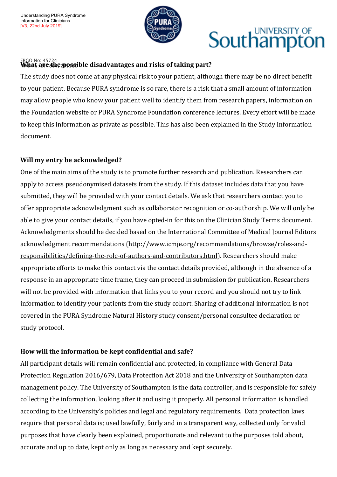

# **Southampton**

#### ERGO No: 45724<br>**MAbat are she possible disadvantages and risks of taking part?**

The study does not come at any physical risk to your patient, although there may be no direct benefit to your patient. Because PURA syndrome is so rare, there is a risk that a small amount of information may allow people who know your patient well to identify them from research papers, information on the Foundation website or PURA Syndrome Foundation conference lectures. Every effort will be made to keep this information as private as possible. This has also been explained in the Study Information document.

#### **Will my entry be acknowledged?**

One of the main aims of the study is to promote further research and publication. Researchers can apply to access pseudonymised datasets from the study. If this dataset includes data that you have submitted, they will be provided with your contact details. We ask that researchers contact you to offer appropriate acknowledgment such as collaborator recognition or co-authorship. We will only be able to give your contact details, if you have opted-in for this on the Clinician Study Terms document. Acknowledgments should be decided based on the International Committee of Medical Journal Editors acknowledgment recommendations (http://www.icmje.org/recommendations/browse/roles-andresponsibilities/defining-the-role-of-authors-and-contributors.html). Researchers should make appropriate efforts to make this contact via the contact details provided, although in the absence of a response in an appropriate time frame, they can proceed in submission for publication. Researchers will not be provided with information that links you to your record and you should not try to link information to identify your patients from the study cohort. Sharing of additional information is not covered in the PURA Syndrome Natural History study consent/personal consultee declaration or study protocol.

#### **How will the information be kept confidential and safe?**

All participant details will remain confidential and protected, in compliance with General Data Protection Regulation 2016/679, Data Protection Act 2018 and the University of Southampton data management policy. The University of Southampton is the data controller, and is responsible for safely collecting the information, looking after it and using it properly. All personal information is handled according to the University's policies and legal and regulatory requirements. Data protection laws require that personal data is; used lawfully, fairly and in a transparent way, collected only for valid purposes that have clearly been explained, proportionate and relevant to the purposes told about, accurate and up to date, kept only as long as necessary and kept securely.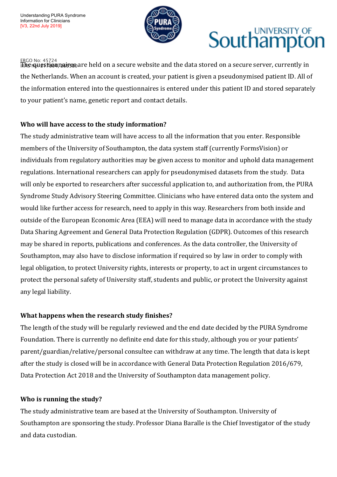

# **UNIVERSITY OF Southampto**

<u>ER</u>GO No: 45724<br>ik**he<sub>NA</sub>uestionnaires** are held on a secure website and the data stored on a secure server, currently in the Netherlands. When an account is created, your patient is given a pseudonymised patient ID. All of the information entered into the questionnaires is entered under this patient ID and stored separately to your patient's name, genetic report and contact details.

#### **Who will have access to the study information?**

The study administrative team will have access to all the information that you enter. Responsible members of the University of Southampton, the data system staff (currently FormsVision) or individuals from regulatory authorities may be given access to monitor and uphold data management regulations. International researchers can apply for pseudonymised datasets from the study. Data will only be exported to researchers after successful application to, and authorization from, the PURA Syndrome Study Advisory Steering Committee. Clinicians who have entered data onto the system and would like further access for research, need to apply in this way. Researchers from both inside and outside of the European Economic Area (EEA) will need to manage data in accordance with the study Data Sharing Agreement and General Data Protection Regulation (GDPR). Outcomes of this research may be shared in reports, publications and conferences. As the data controller, the University of Southampton, may also have to disclose information if required so by law in order to comply with legal obligation, to protect University rights, interests or property, to act in urgent circumstances to protect the personal safety of University staff, students and public, or protect the University against any legal liability.

#### **What happens when the research study finishes?**

The length of the study will be regularly reviewed and the end date decided by the PURA Syndrome Foundation. There is currently no definite end date for this study, although you or your patients' parent/guardian/relative/personal consultee can withdraw at any time. The length that data is kept after the study is closed will be in accordance with General Data Protection Regulation 2016/679, Data Protection Act 2018 and the University of Southampton data management policy.

#### **Who is running the study?**

The study administrative team are based at the University of Southampton. University of Southampton are sponsoring the study. Professor Diana Baralle is the Chief Investigator of the study and data custodian.